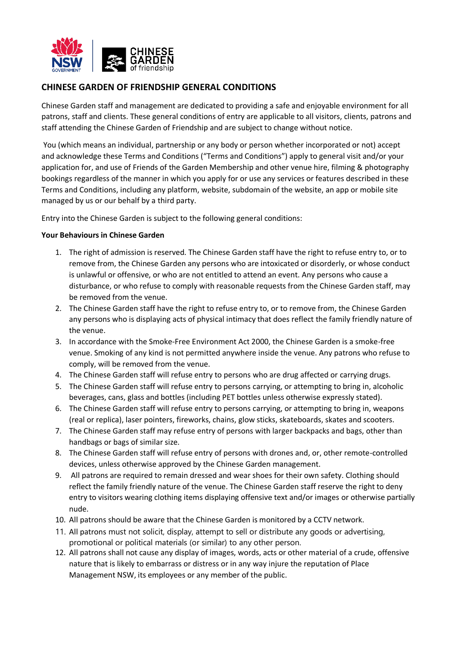

# **CHINESE GARDEN OF FRIENDSHIP GENERAL CONDITIONS**

Chinese Garden staff and management are dedicated to providing a safe and enjoyable environment for all patrons, staff and clients. These general conditions of entry are applicable to all visitors, clients, patrons and staff attending the Chinese Garden of Friendship and are subject to change without notice.

You (which means an individual, partnership or any body or person whether incorporated or not) accept and acknowledge these Terms and Conditions ("Terms and Conditions") apply to general visit and/or your application for, and use of Friends of the Garden Membership and other venue hire, filming & photography bookings regardless of the manner in which you apply for or use any services or features described in these Terms and Conditions, including any platform, website, subdomain of the website, an app or mobile site managed by us or our behalf by a third party.

Entry into the Chinese Garden is subject to the following general conditions:

# **Your Behaviours in Chinese Garden**

- 1. The right of admission is reserved. The Chinese Garden staff have the right to refuse entry to, or to remove from, the Chinese Garden any persons who are intoxicated or disorderly, or whose conduct is unlawful or offensive, or who are not entitled to attend an event. Any persons who cause a disturbance, or who refuse to comply with reasonable requests from the Chinese Garden staff, may be removed from the venue.
- 2. The Chinese Garden staff have the right to refuse entry to, or to remove from, the Chinese Garden any persons who is displaying acts of physical intimacy that does reflect the family friendly nature of the venue.
- 3. In accordance with the Smoke-Free Environment Act 2000, the Chinese Garden is a smoke-free venue. Smoking of any kind is not permitted anywhere inside the venue. Any patrons who refuse to comply, will be removed from the venue.
- 4. The Chinese Garden staff will refuse entry to persons who are drug affected or carrying drugs.
- 5. The Chinese Garden staff will refuse entry to persons carrying, or attempting to bring in, alcoholic beverages, cans, glass and bottles (including PET bottles unless otherwise expressly stated).
- 6. The Chinese Garden staff will refuse entry to persons carrying, or attempting to bring in, weapons (real or replica), laser pointers, fireworks, chains, glow sticks, skateboards, skates and scooters.
- 7. The Chinese Garden staff may refuse entry of persons with larger backpacks and bags, other than handbags or bags of similar size.
- 8. The Chinese Garden staff will refuse entry of persons with drones and, or, other remote-controlled devices, unless otherwise approved by the Chinese Garden management.
- 9. All patrons are required to remain dressed and wear shoes for their own safety. Clothing should reflect the family friendly nature of the venue. The Chinese Garden staff reserve the right to deny entry to visitors wearing clothing items displaying offensive text and/or images or otherwise partially nude.
- 10. All patrons should be aware that the Chinese Garden is monitored by a CCTV network.
- 11. All patrons must not solicit, display, attempt to sell or distribute any goods or advertising, promotional or political materials (or similar) to any other person.
- 12. All patrons shall not cause any display of images, words, acts or other material of a crude, offensive nature that is likely to embarrass or distress or in any way injure the reputation of Place Management NSW, its employees or any member of the public.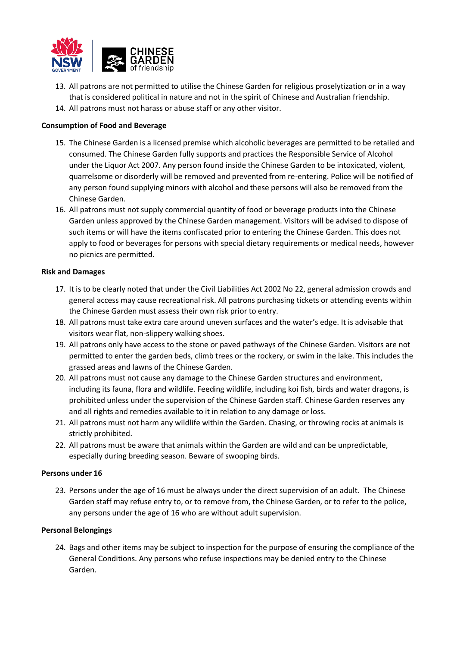

- 13. All patrons are not permitted to utilise the Chinese Garden for religious proselytization or in a way that is considered political in nature and not in the spirit of Chinese and Australian friendship.
- 14. All patrons must not harass or abuse staff or any other visitor.

# **Consumption of Food and Beverage**

- 15. The Chinese Garden is a licensed premise which alcoholic beverages are permitted to be retailed and consumed. The Chinese Garden fully supports and practices the Responsible Service of Alcohol under the Liquor Act 2007. Any person found inside the Chinese Garden to be intoxicated, violent, quarrelsome or disorderly will be removed and prevented from re-entering. Police will be notified of any person found supplying minors with alcohol and these persons will also be removed from the Chinese Garden.
- 16. All patrons must not supply commercial quantity of food or beverage products into the Chinese Garden unless approved by the Chinese Garden management. Visitors will be advised to dispose of such items or will have the items confiscated prior to entering the Chinese Garden. This does not apply to food or beverages for persons with special dietary requirements or medical needs, however no picnics are permitted.

### **Risk and Damages**

- 17. It is to be clearly noted that under the Civil Liabilities Act 2002 No 22, general admission crowds and general access may cause recreational risk. All patrons purchasing tickets or attending events within the Chinese Garden must assess their own risk prior to entry.
- 18. All patrons must take extra care around uneven surfaces and the water's edge. It is advisable that visitors wear flat, non-slippery walking shoes.
- 19. All patrons only have access to the stone or paved pathways of the Chinese Garden. Visitors are not permitted to enter the garden beds, climb trees or the rockery, or swim in the lake. This includes the grassed areas and lawns of the Chinese Garden.
- 20. All patrons must not cause any damage to the Chinese Garden structures and environment, including its fauna, flora and wildlife. Feeding wildlife, including koi fish, birds and water dragons, is prohibited unless under the supervision of the Chinese Garden staff. Chinese Garden reserves any and all rights and remedies available to it in relation to any damage or loss.
- 21. All patrons must not harm any wildlife within the Garden. Chasing, or throwing rocks at animals is strictly prohibited.
- 22. All patrons must be aware that animals within the Garden are wild and can be unpredictable, especially during breeding season. Beware of swooping birds.

### **Persons under 16**

23. Persons under the age of 16 must be always under the direct supervision of an adult. The Chinese Garden staff may refuse entry to, or to remove from, the Chinese Garden, or to refer to the police, any persons under the age of 16 who are without adult supervision.

### **Personal Belongings**

24. Bags and other items may be subject to inspection for the purpose of ensuring the compliance of the General Conditions. Any persons who refuse inspections may be denied entry to the Chinese Garden.